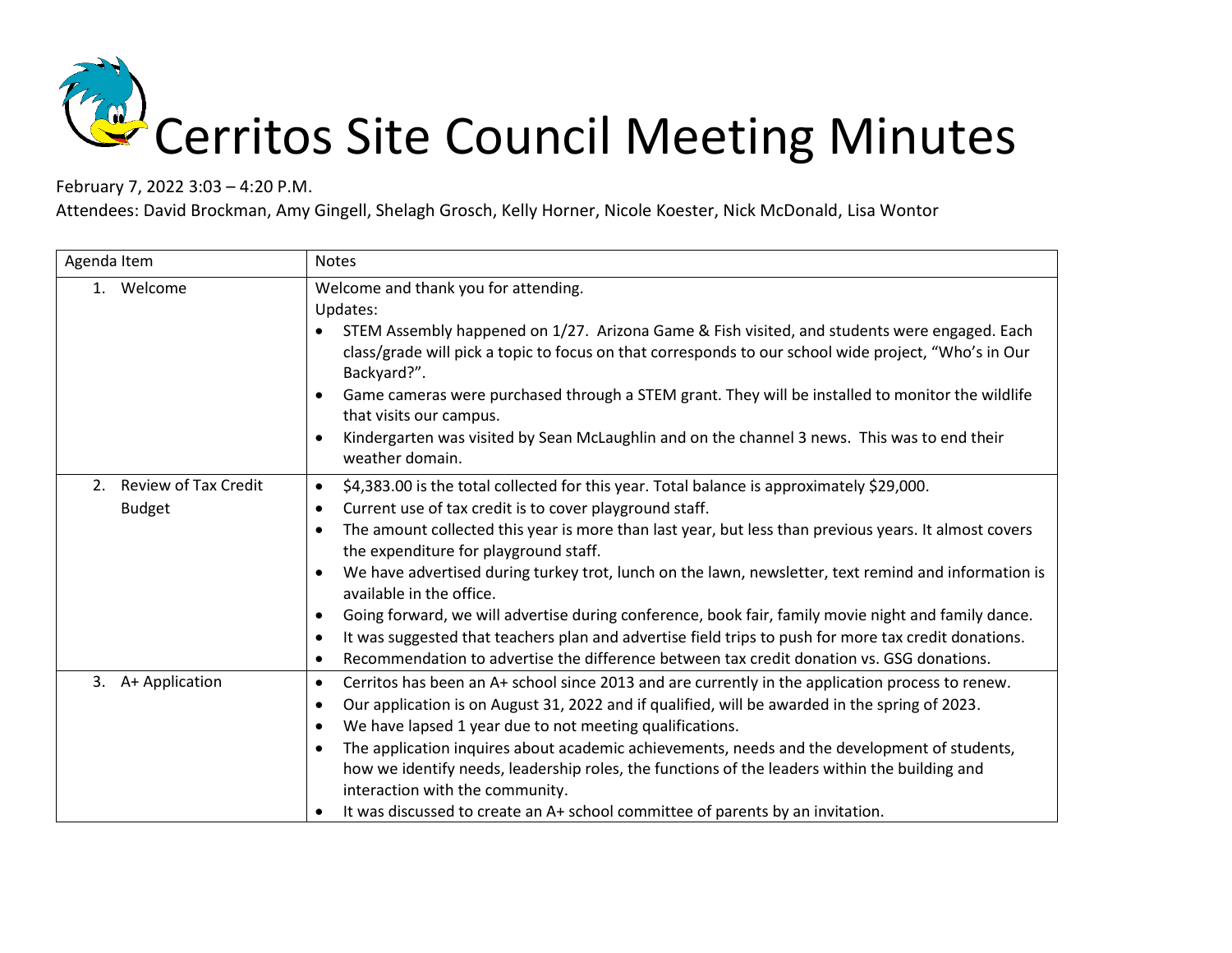## Cerritos Site Council Meeting Minutes

February 7, 2022 3:03 – 4:20 P.M.

Attendees: David Brockman, Amy Gingell, Shelagh Grosch, Kelly Horner, Nicole Koester, Nick McDonald, Lisa Wontor

| Agenda Item                                        | <b>Notes</b>                                                                                                                                                                                                                                                                                                                                                                                                                                                                                                                                                                                                                                                                                                                                                                                                                                      |
|----------------------------------------------------|---------------------------------------------------------------------------------------------------------------------------------------------------------------------------------------------------------------------------------------------------------------------------------------------------------------------------------------------------------------------------------------------------------------------------------------------------------------------------------------------------------------------------------------------------------------------------------------------------------------------------------------------------------------------------------------------------------------------------------------------------------------------------------------------------------------------------------------------------|
| 1. Welcome                                         | Welcome and thank you for attending.<br>Updates:<br>STEM Assembly happened on 1/27. Arizona Game & Fish visited, and students were engaged. Each<br>class/grade will pick a topic to focus on that corresponds to our school wide project, "Who's in Our<br>Backyard?".<br>Game cameras were purchased through a STEM grant. They will be installed to monitor the wildlife<br>$\bullet$<br>that visits our campus.<br>Kindergarten was visited by Sean McLaughlin and on the channel 3 news. This was to end their<br>$\bullet$<br>weather domain.                                                                                                                                                                                                                                                                                               |
| <b>Review of Tax Credit</b><br>2.<br><b>Budget</b> | \$4,383.00 is the total collected for this year. Total balance is approximately \$29,000.<br>$\bullet$<br>Current use of tax credit is to cover playground staff.<br>$\bullet$<br>The amount collected this year is more than last year, but less than previous years. It almost covers<br>$\bullet$<br>the expenditure for playground staff.<br>We have advertised during turkey trot, lunch on the lawn, newsletter, text remind and information is<br>$\bullet$<br>available in the office.<br>Going forward, we will advertise during conference, book fair, family movie night and family dance.<br>$\bullet$<br>It was suggested that teachers plan and advertise field trips to push for more tax credit donations.<br>$\bullet$<br>Recommendation to advertise the difference between tax credit donation vs. GSG donations.<br>$\bullet$ |
| 3. A+ Application                                  | Cerritos has been an A+ school since 2013 and are currently in the application process to renew.<br>$\bullet$<br>Our application is on August 31, 2022 and if qualified, will be awarded in the spring of 2023.<br>$\bullet$<br>We have lapsed 1 year due to not meeting qualifications.<br>$\bullet$<br>The application inquires about academic achievements, needs and the development of students,<br>$\bullet$<br>how we identify needs, leadership roles, the functions of the leaders within the building and<br>interaction with the community.<br>It was discussed to create an A+ school committee of parents by an invitation.<br>$\bullet$                                                                                                                                                                                             |